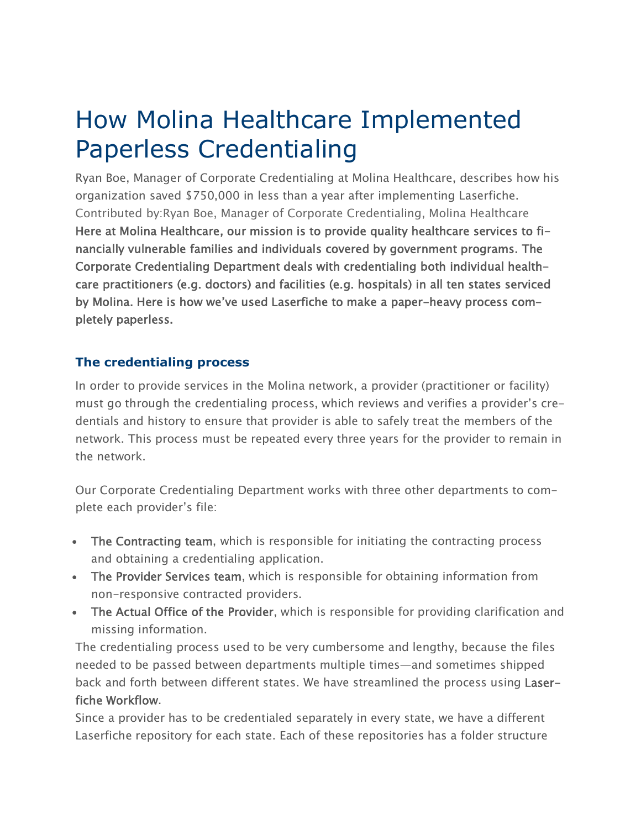How Molina Healthcare Implemented Paperless Credentialing

Ryan Boe, Manager of Corporate Credentialing at Molina Healthcare, describes how his organization saved \$750,000 in less than a year after implementing Laserfiche. Contributed by:Ryan Boe, Manager of Corporate Credentialing, Molina Healthcare Here at Molina Healthcare, our mission is to provide quality healthcare services to financially vulnerable families and individuals covered by government programs. The Corporate Credentialing Department deals with credentialing both individual healthcare practitioners (e.g. doctors) and facilities (e.g. hospitals) in all ten states serviced by Molina. Here is how we've used Laserfiche to make a paper-heavy process completely paperless.

### **The credentialing process**

In order to provide services in the Molina network, a provider (practitioner or facility) must go through the credentialing process, which reviews and verifies a provider's credentials and history to ensure that provider is able to safely treat the members of the network. This process must be repeated every three years for the provider to remain in the network.

Our Corporate Credentialing Department works with three other departments to complete each provider's file:

- The Contracting team, which is responsible for initiating the contracting process and obtaining a credentialing application.
- The Provider Services team, which is responsible for obtaining information from non-responsive contracted providers.
- The Actual Office of the Provider, which is responsible for providing clarification and missing information.

The credentialing process used to be very cumbersome and lengthy, because the files needed to be passed between departments multiple times—and sometimes shipped back and forth between different states. We have streamlined the process using Laserfiche Workflow.

Since a provider has to be credentialed separately in every state, we have a different Laserfiche repository for each state. Each of these repositories has a folder structure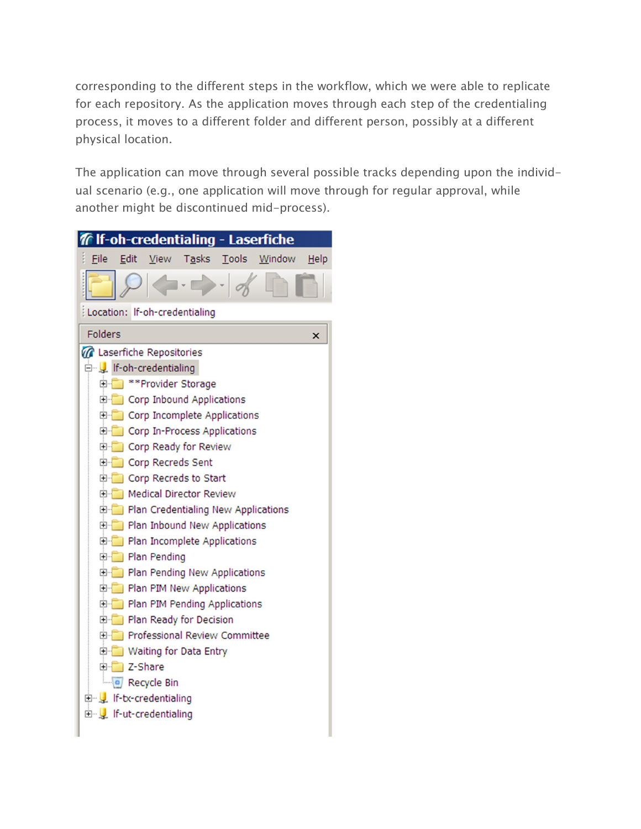corresponding to the different steps in the workflow, which we were able to replicate for each repository. As the application moves through each step of the credentialing process, it moves to a different folder and different person, possibly at a different physical location.

The application can move through several possible tracks depending upon the individual scenario (e.g., one application will move through for regular approval, while another might be discontinued mid-process).

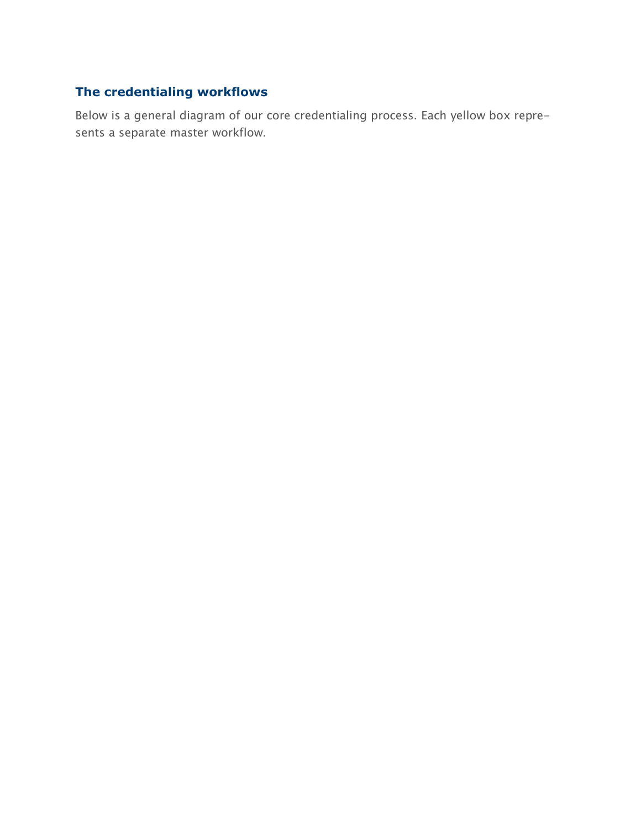# **The credentialing workflows**

Below is a general diagram of our core credentialing process. Each yellow box represents a separate master workflow.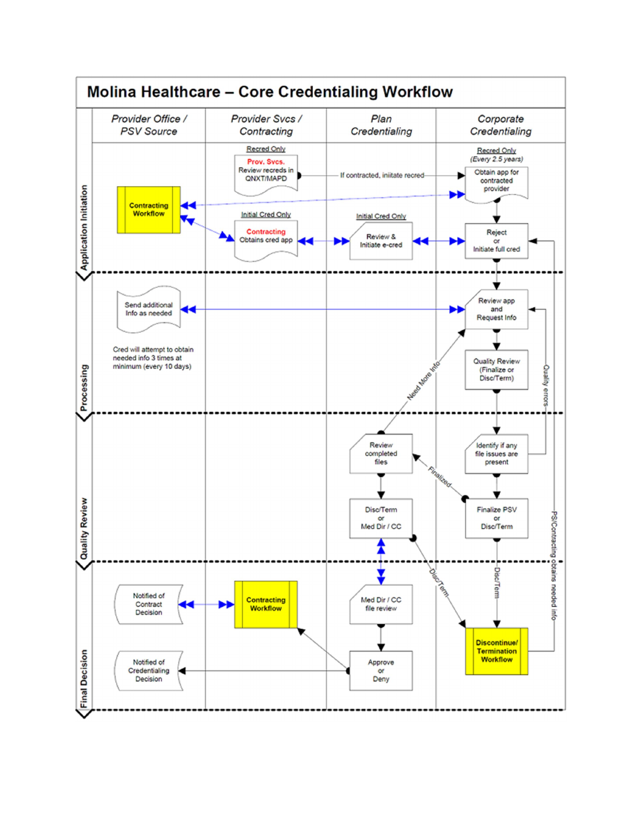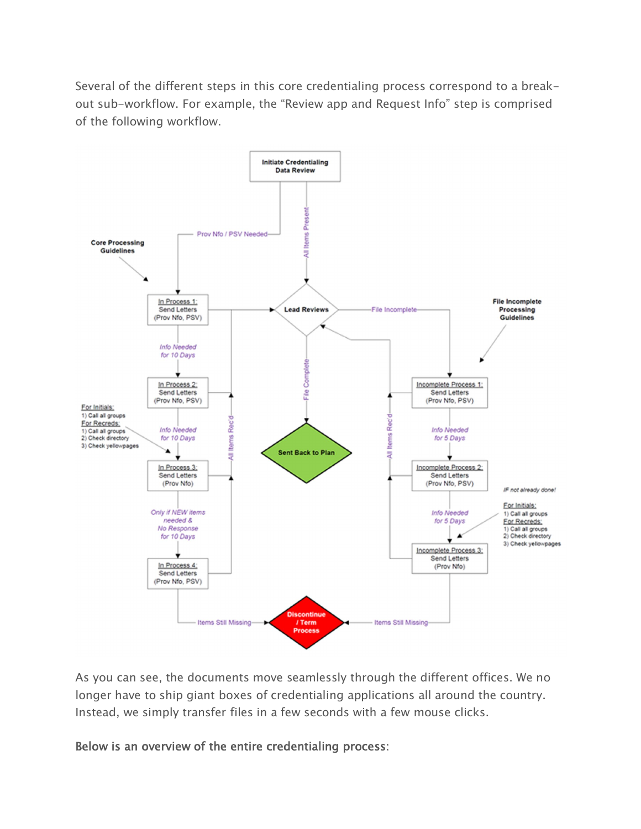Several of the different steps in this core credentialing process correspond to a breakout sub-workflow. For example, the "Review app and Request Info" step is comprised of the following workflow.



As you can see, the documents move seamlessly through the different offices. We no longer have to ship giant boxes of credentialing applications all around the country. Instead, we simply transfer files in a few seconds with a few mouse clicks.

Below is an overview of the entire credentialing process: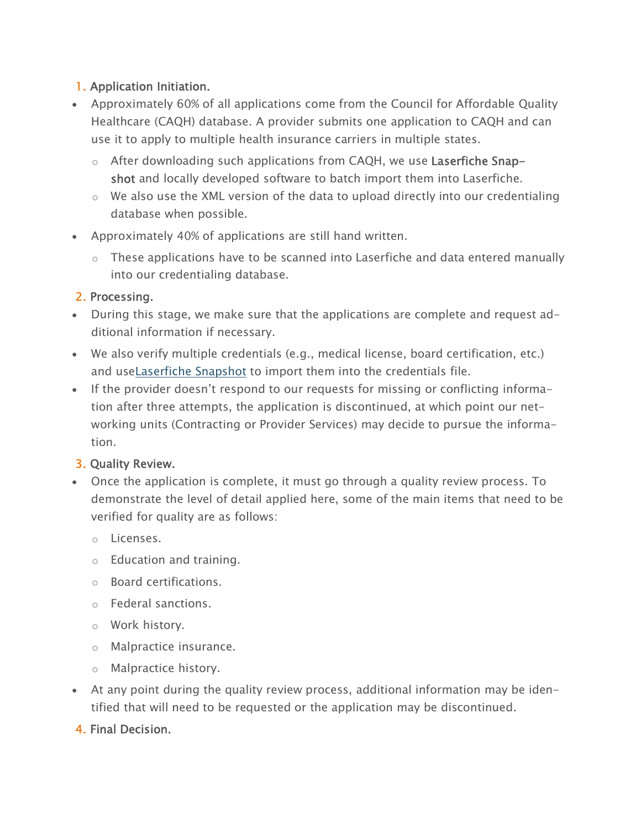## 1. Application Initiation.

- Approximately 60% of all applications come from the Council for Affordable Quality Healthcare (CAQH) database. A provider submits one application to CAQH and can use it to apply to multiple health insurance carriers in multiple states.
	- o After downloading such applications from CAQH, we use Laserfiche Snapshot and locally developed software to batch import them into Laserfiche.
	- $\circ$  We also use the XML version of the data to upload directly into our credentialing database when possible.
- Approximately 40% of applications are still hand written.
	- $\circ$  These applications have to be scanned into Laserfiche and data entered manually into our credentialing database.

### 2. Processing.

- During this stage, we make sure that the applications are complete and request additional information if necessary.
- We also verify multiple credentials (e.g., medical license, board certification, etc.) and useLaserfiche Snapshot to import them into the credentials file.
- If the provider doesn't respond to our requests for missing or conflicting information after three attempts, the application is discontinued, at which point our networking units (Contracting or Provider Services) may decide to pursue the information.

## 3. Quality Review.

- Once the application is complete, it must go through a quality review process. To demonstrate the level of detail applied here, some of the main items that need to be verified for quality are as follows:
	- o Licenses.
	- o Education and training.
	- o Board certifications.
	- o Federal sanctions.
	- o Work history.
	- o Malpractice insurance.
	- o Malpractice history.
- At any point during the quality review process, additional information may be identified that will need to be requested or the application may be discontinued.
- 4. Final Decision.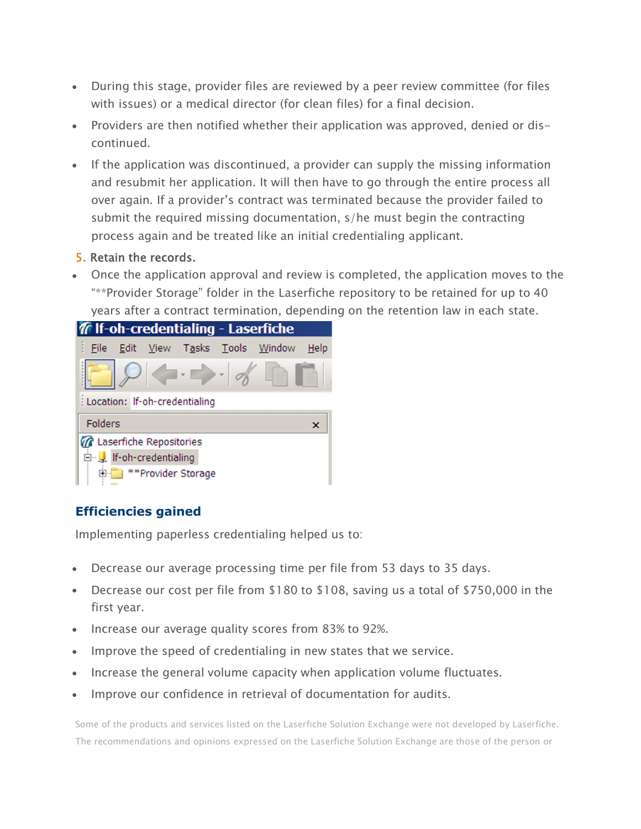- During this stage, provider files are reviewed by a peer review committee (for files with issues) or a medical director (for clean files) for a final decision.
- Providers are then notified whether their application was approved, denied or discontinued.
- If the application was discontinued, a provider can supply the missing information and resubmit her application. It will then have to go through the entire process all over again. If a provider's contract was terminated because the provider failed to submit the required missing documentation, s/he must begin the contracting process again and be treated like an initial credentialing applicant.

#### 5. Retain the records.

 Once the application approval and review is completed, the application moves to the "\*\*Provider Storage" folder in the Laserfiche repository to be retained for up to 40 years after a contract termination, depending on the retention law in each state.



# **Efficiencies gained**

Implementing paperless credentialing helped us to:

- Decrease our average processing time per file from 53 days to 35 days.
- Decrease our cost per file from \$180 to \$108, saving us a total of \$750,000 in the first year.
- Increase our average quality scores from 83% to 92%.
- Improve the speed of credentialing in new states that we service.
- Increase the general volume capacity when application volume fluctuates.
- Improve our confidence in retrieval of documentation for audits.

Some of the products and services listed on the Laserfiche Solution Exchange were not developed by Laserfiche. The recommendations and opinions expressed on the Laserfiche Solution Exchange are those of the person or